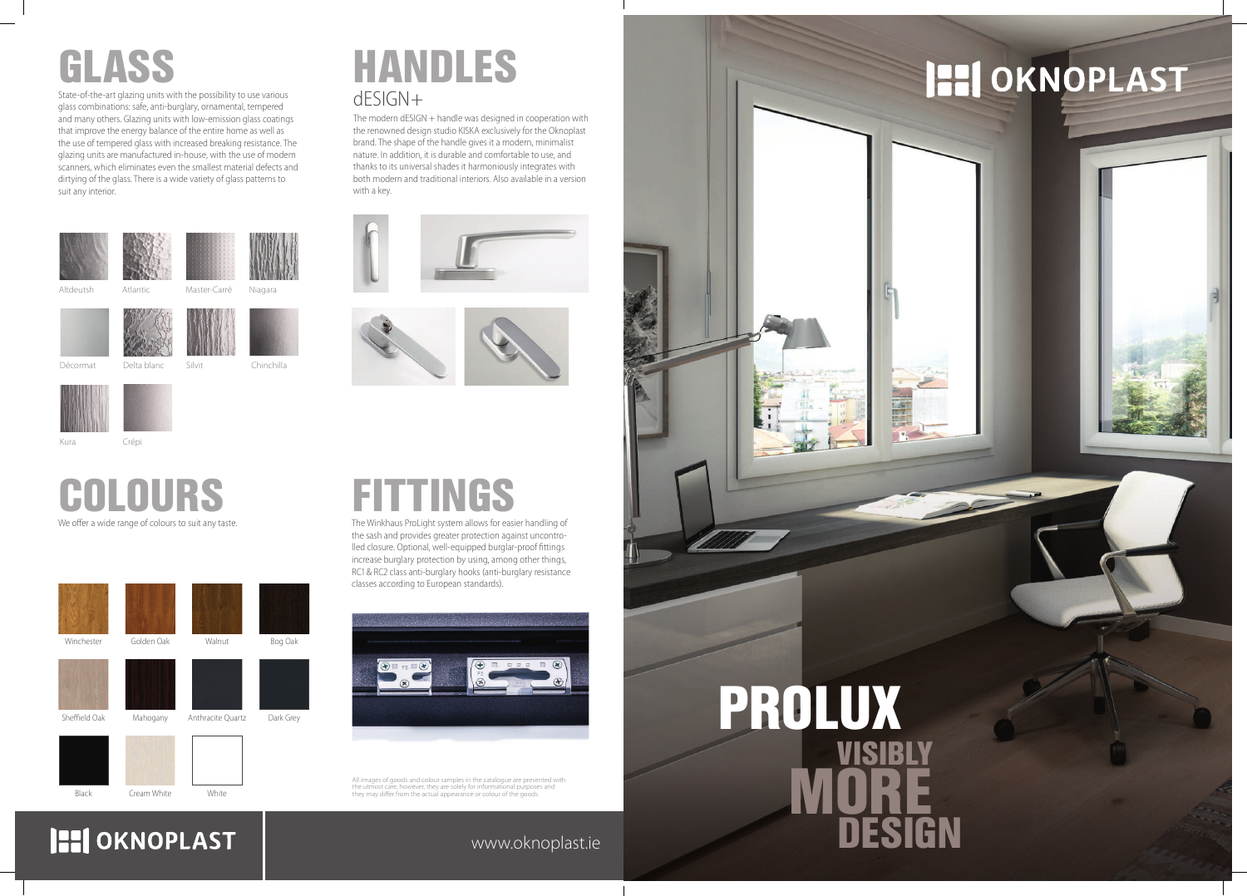#### www.oknoplast.ie



### **HI OKNOPLAST**

All images of goods and colour samples in the catalogue are presented with the utmost care, however, they are solely for informational purposes and the atmost early, newever, they are solely for informational parpose they may differ from the actual appearance or colour of the goods.

We offer a wide range of colours to suit any taste.

# COLOURS





## GLASS

State-of-the-art glazing units with the possibility to use various glass combinations: safe, anti-burglary, ornamental, tempered and many others. Glazing units with low-emission glass coatings that improve the energy balance of the entire home as well as the use of tempered glass with increased breaking resistance. The glazing units are manufactured in-house, with the use of modern scanners, which eliminates even the smallest material defects and dirtying of the glass. There is a wide variety of glass patterns to suit any interior.

### dESIGN+ HANDLES

The modern dESIGN + handle was designed in cooperation with the renowned design studio KISKA exclusively for the Oknoplast brand. The shape of the handle gives it a modern, minimalist nature. In addition, it is durable and comfortable to use, and thanks to its universal shades it harmoniously integrates with both modern and traditional interiors. Also available in a version with a key.





## **FITTINGS**

The Winkhaus ProLight system allows for easier handling of the sash and provides greater protection against uncontrolled closure. Optional, well-equipped burglar-proof fittings increase burglary protection by using, among other things, RC1 & RC2 class anti-burglary hooks (anti-burglary resistance classes according to European standards).